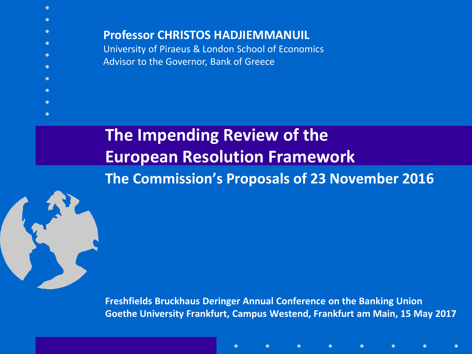$\bullet$ **Professor CHRISTOS HADJIEMMANUIL** University of Piraeus & London School of Economics Advisor to the Governor, Bank of Greece

# **The Impending Review of the European Resolution Framework The Commission's Proposals of 23 November 2016**



 $\bullet$ 

**Freshfields Bruckhaus Deringer Annual Conference on the Banking Union Goethe University Frankfurt, Campus Westend, Frankfurt am Main, 15 May 2017**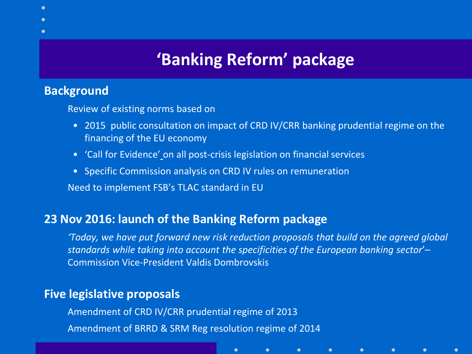# **'Banking Reform' package**

#### **Background**

Review of existing norms based on

- 2015 public consultation on impact of CRD IV/CRR banking prudential regime on the financing of the EU economy
- 'Call for Evidence' on all post-crisis legislation on financial services
- Specific Commission analysis on CRD IV rules on remuneration

Need to implement FSB's TLAC standard in EU

#### **23 Nov 2016: launch of the Banking Reform package**

*'Today, we have put forward new risk reduction proposals that build on the agreed global standards while taking into account the specificities of the European banking sector*'– Commission Vice-President Valdis Dombrovskis

 $\bullet$ 

#### **Five legislative proposals**

Amendment of CRD IV/CRR prudential regime of 2013 Amendment of BRRD & SRM Reg resolution regime of 2014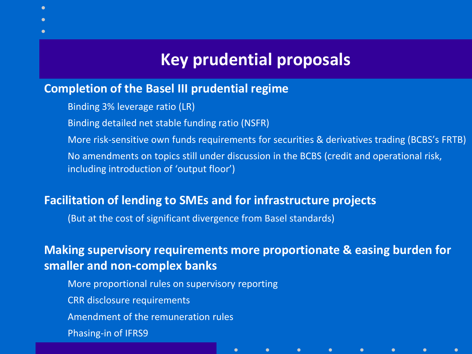# **Key prudential proposals**

#### **Completion of the Basel III prudential regime**

Binding 3% leverage ratio (LR)

Binding detailed net stable funding ratio (NSFR)

More risk-sensitive own funds requirements for securities & derivatives trading (BCBS's FRTB) No amendments on topics still under discussion in the BCBS (credit and operational risk, including introduction of 'output floor')

#### **Facilitation of lending to SMEs and for infrastructure projects**

(But at the cost of significant divergence from Basel standards)

### **Making supervisory requirements more proportionate & easing burden for smaller and non-complex banks**

 $\bullet$ 

 $\bullet$ 

 $\bullet$ 

More proportional rules on supervisory reporting CRR disclosure requirements Amendment of the remuneration rules Phasing-in of IFRS9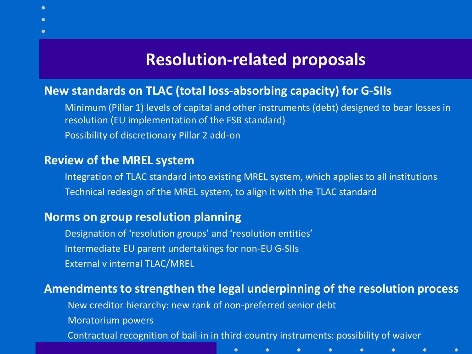# **Resolution-related proposals**

#### **New standards on TLAC (total loss-absorbing capacity) for G-SIIs**

Minimum (Pillar 1) levels of capital and other instruments (debt) designed to bear losses in resolution (EU implementation of the FSB standard) Possibility of discretionary Pillar 2 add-on

#### **Review of the MREL system**

Integration of TLAC standard into existing MREL system, which applies to all institutions Technical redesign of the MREL system, to align it with the TLAC standard

#### **Norms on group resolution planning**

Designation of 'resolution groups' and 'resolution entities' Intermediate EU parent undertakings for non-EU G-SIIs External v internal TLAC/MREL

#### **Amendments to strengthen the legal underpinning of the resolution process**

New creditor hierarchy: new rank of non-preferred senior debt

Moratorium powers

Contractual recognition of bail-in in third-country instruments: possibility of waiver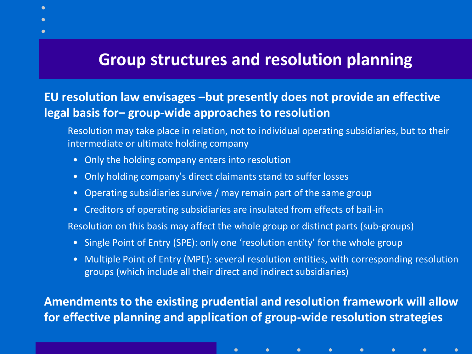# **Group structures and resolution planning**

### **EU resolution law envisages –but presently does not provide an effective legal basis for– group-wide approaches to resolution**

Resolution may take place in relation, not to individual operating subsidiaries, but to their intermediate or ultimate holding company

- Only the holding company enters into resolution
- Only holding company's direct claimants stand to suffer losses
- Operating subsidiaries survive / may remain part of the same group
- Creditors of operating subsidiaries are insulated from effects of bail-in

Resolution on this basis may affect the whole group or distinct parts (sub-groups)

• Single Point of Entry (SPE): only one 'resolution entity' for the whole group

 $\bullet$ 

• Multiple Point of Entry (MPE): several resolution entities, with corresponding resolution groups (which include all their direct and indirect subsidiaries)

**Amendments to the existing prudential and resolution framework will allow for effective planning and application of group-wide resolution strategies**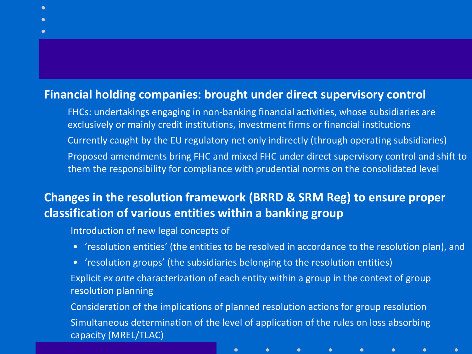#### **Financial holding companies: brought under direct supervisory control**

FHCs: undertakings engaging in non-banking financial activities, whose subsidiaries are exclusively or mainly credit institutions, investment firms or financial institutions Currently caught by the EU regulatory net only indirectly (through operating subsidiaries) Proposed amendments bring FHC and mixed FHC under direct supervisory control and shift to them the responsibility for compliance with prudential norms on the consolidated level

### **Changes in the resolution framework (BRRD & SRM Reg) to ensure proper classification of various entities within a banking group**

Introduction of new legal concepts of

• 'resolution entities' (the entities to be resolved in accordance to the resolution plan), and

 $\bullet$ 

• 'resolution groups' (the subsidiaries belonging to the resolution entities)

Explicit *ex ante* characterization of each entity within a group in the context of group resolution planning

Consideration of the implications of planned resolution actions for group resolution Simultaneous determination of the level of application of the rules on loss absorbing capacity (MREL/TLAC)

 $\bullet$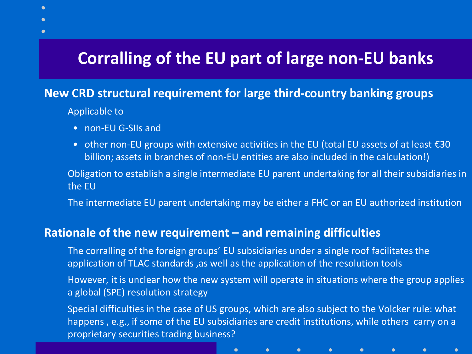# **Corralling of the EU part of large non-EU banks**

#### **New CRD structural requirement for large third-country banking groups**

Applicable to

- non-EU G-SIIs and
- other non-EU groups with extensive activities in the EU (total EU assets of at least €30 billion; assets in branches of non-EU entities are also included in the calculation!)

Obligation to establish a single intermediate EU parent undertaking for all their subsidiaries in the EU

The intermediate EU parent undertaking may be either a FHC or an EU authorized institution

#### **Rationale of the new requirement – and remaining difficulties**

The corralling of the foreign groups' EU subsidiaries under a single roof facilitates the application of TLAC standards ,as well as the application of the resolution tools

However, it is unclear how the new system will operate in situations where the group applies a global (SPE) resolution strategy

Special difficulties in the case of US groups, which are also subject to the Volcker rule: what happens , e.g., if some of the EU subsidiaries are credit institutions, while others carry on a proprietary securities trading business?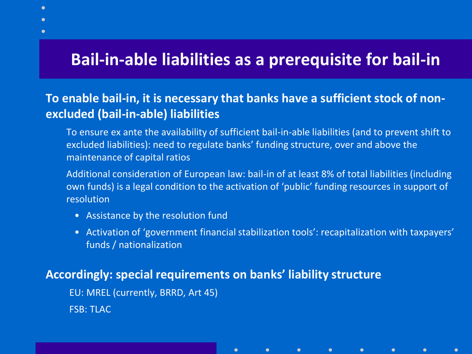# **Bail-in-able liabilities as a prerequisite for bail-in**

### **To enable bail-in, it is necessary that banks have a sufficient stock of nonexcluded (bail-in-able) liabilities**

- To ensure ex ante the availability of sufficient bail-in-able liabilities (and to prevent shift to excluded liabilities): need to regulate banks' funding structure, over and above the maintenance of capital ratios
- Additional consideration of European law: bail-in of at least 8% of total liabilities (including own funds) is a legal condition to the activation of 'public' funding resources in support of resolution
	- Assistance by the resolution fund
	- Activation of 'government financial stabilization tools': recapitalization with taxpayers' funds / nationalization

#### **Accordingly: special requirements on banks' liability structure**

 $\bullet$ 

EU: MREL (currently, BRRD, Art 45) FSB: TLAC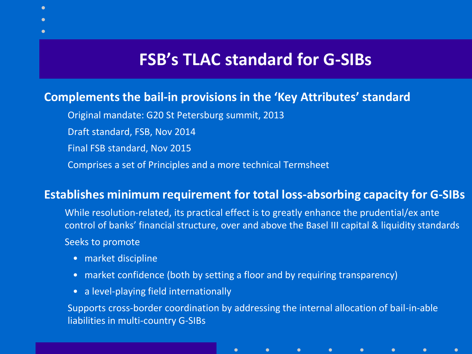# **FSB's TLAC standard for G-SIBs**

#### **Complements the bail-in provisions in the 'Key Attributes' standard**

- Original mandate: G20 St Petersburg summit, 2013
- Draft standard, FSB, Nov 2014
- Final FSB standard, Nov 2015
- Comprises a set of Principles and a more technical Termsheet

#### **Establishes minimum requirement for total loss-absorbing capacity for G-SIBs**

- While resolution-related, its practical effect is to greatly enhance the prudential/ex ante control of banks' financial structure, over and above the Basel III capital & liquidity standards Seeks to promote
	- market discipline
	- market confidence (both by setting a floor and by requiring transparency)

 $\bullet$ 

• a level-playing field internationally

Supports cross-border coordination by addressing the internal allocation of bail-in-able liabilities in multi-country G-SIBs

 $\bullet$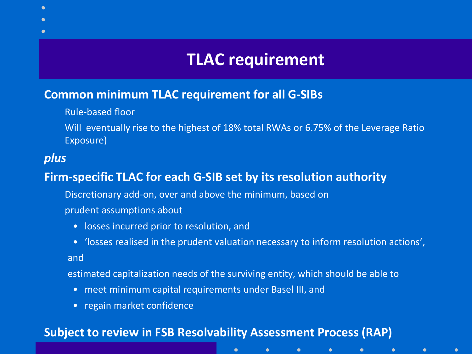# **TLAC requirement**

#### **Common minimum TLAC requirement for all G-SIBs**

Rule-based floor

Will eventually rise to the highest of 18% total RWAs or 6.75% of the Leverage Ratio Exposure)

### *plus*

 $\bullet$ 

### **Firm-specific TLAC for each G-SIB set by its resolution authority**

Discretionary add-on, over and above the minimum, based on prudent assumptions about

- losses incurred prior to resolution, and
- 'losses realised in the prudent valuation necessary to inform resolution actions', and

estimated capitalization needs of the surviving entity, which should be able to

 $\bullet$ 

 $\bullet$ 

 $\bullet$ 

 $\bullet$ 

 $\bullet$ 

- meet minimum capital requirements under Basel III, and
- regain market confidence

#### **Subject to review in FSB Resolvability Assessment Process (RAP)**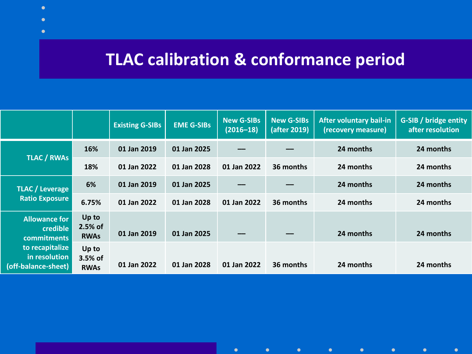# **TLAC calibration & conformance period**

Г

|                                                                                                                   |                                 | <b>Existing G-SIBs</b> | <b>EME G-SIBs</b> | <b>New G-SIBs</b><br>$(2016 - 18)$ | <b>New G-SIBs</b><br>(after 2019) | <b>After voluntary bail-in</b><br>(recovery measure) | G-SIB / bridge entity<br>after resolution |
|-------------------------------------------------------------------------------------------------------------------|---------------------------------|------------------------|-------------------|------------------------------------|-----------------------------------|------------------------------------------------------|-------------------------------------------|
| <b>TLAC / RWAS</b>                                                                                                | 16%                             | 01 Jan 2019            | 01 Jan 2025       |                                    |                                   | 24 months                                            | 24 months                                 |
|                                                                                                                   | 18%                             | 01 Jan 2022            | 01 Jan 2028       | 01 Jan 2022                        | 36 months                         | 24 months                                            | 24 months                                 |
| <b>TLAC</b> / Leverage<br><b>Ratio Exposure</b>                                                                   | 6%                              | 01 Jan 2019            | 01 Jan 2025       |                                    |                                   | 24 months                                            | 24 months                                 |
|                                                                                                                   | 6.75%                           | 01 Jan 2022            | 01 Jan 2028       | 01 Jan 2022                        | 36 months                         | 24 months                                            | 24 months                                 |
| <b>Allowance for</b><br>credible<br><b>commitments</b><br>to recapitalize<br>in resolution<br>(off-balance-sheet) | Up to<br>2.5% of<br><b>RWAs</b> | 01 Jan 2019            | 01 Jan 2025       |                                    |                                   | 24 months                                            | 24 months                                 |
|                                                                                                                   | Up to<br>3.5% of<br><b>RWAs</b> | 01 Jan 2022            | 01 Jan 2028       | 01 Jan 2022                        | 36 months                         | 24 months                                            | 24 months                                 |

 $\bullet$ 

 $\bullet$ 

 $\bullet$ 

 $\bullet$ 

 $\bullet$ 

 $\bullet$ 

 $\bullet$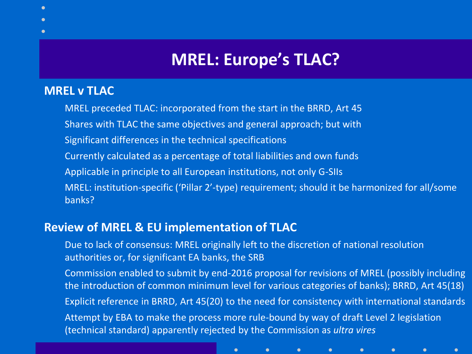# **MREL: Europe's TLAC?**

#### **MREL v TLAC**

MREL preceded TLAC: incorporated from the start in the BRRD, Art 45 Shares with TLAC the same objectives and general approach; but with Significant differences in the technical specifications Currently calculated as a percentage of total liabilities and own funds Applicable in principle to all European institutions, not only G-SIIs MREL: institution-specific ('Pillar 2'-type) requirement; should it be harmonized for all/some banks?

#### **Review of MREL & EU implementation of TLAC**

Due to lack of consensus: MREL originally left to the discretion of national resolution authorities or, for significant EA banks, the SRB

 $\bullet$ 

Commission enabled to submit by end-2016 proposal for revisions of MREL (possibly including the introduction of common minimum level for various categories of banks); BRRD, Art 45(18) Explicit reference in BRRD, Art 45(20) to the need for consistency with international standards Attempt by EBA to make the process more rule-bound by way of draft Level 2 legislation (technical standard) apparently rejected by the Commission as *ultra vires* 

 $\bullet$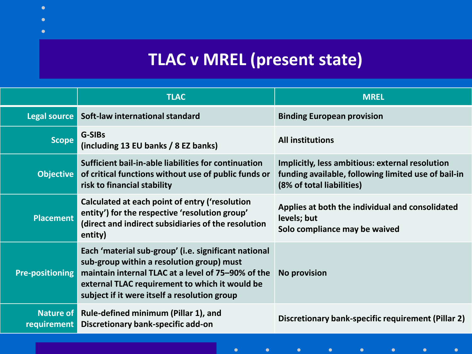# **TLAC v MREL (present state)**

 $\bullet$ 

|                        | <b>TLAC</b>                                                                                                                                                                                                                                               | <b>MREL</b>                                                                                                                         |  |
|------------------------|-----------------------------------------------------------------------------------------------------------------------------------------------------------------------------------------------------------------------------------------------------------|-------------------------------------------------------------------------------------------------------------------------------------|--|
|                        | Legal source Soft-law international standard                                                                                                                                                                                                              | <b>Binding European provision</b>                                                                                                   |  |
| <b>Scope</b>           | G-SIBs<br>(including 13 EU banks / 8 EZ banks)                                                                                                                                                                                                            | <b>All institutions</b>                                                                                                             |  |
| Objective              | Sufficient bail-in-able liabilities for continuation<br>of critical functions without use of public funds or<br>risk to financial stability                                                                                                               | Implicitly, less ambitious: external resolution<br>funding available, following limited use of bail-in<br>(8% of total liabilities) |  |
| <b>Placement</b>       | Calculated at each point of entry ('resolution<br>entity') for the respective 'resolution group'<br>(direct and indirect subsidiaries of the resolution<br>entity)                                                                                        | Applies at both the individual and consolidated<br>levels; but<br>Solo compliance may be waived                                     |  |
| <b>Pre-positioning</b> | Each 'material sub-group' (i.e. significant national<br>sub-group within a resolution group) must<br>maintain internal TLAC at a level of 75-90% of the<br>external TLAC requirement to which it would be<br>subject if it were itself a resolution group | <b>No provision</b>                                                                                                                 |  |
| <b>requirement</b>     | Nature of Rule-defined minimum (Pillar 1), and<br>Discretionary bank-specific add-on                                                                                                                                                                      | Discretionary bank-specific requirement (Pillar 2)                                                                                  |  |
|                        |                                                                                                                                                                                                                                                           |                                                                                                                                     |  |

 $\bullet$ 

 $\bullet$ 

 $\bullet$ 

 $\bullet$ 

 $\bullet$ 

 $\bullet$ 

 $\bullet$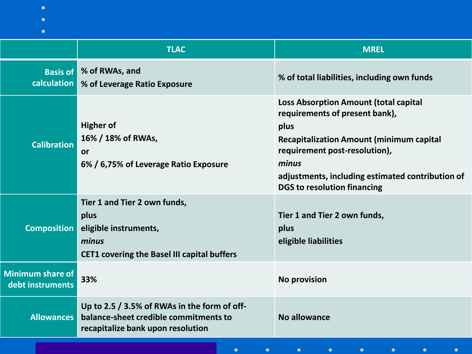| $\bullet$<br>$\bullet$                      |                                                                                                                              |                                                                                                                                                                                                                                                                               |
|---------------------------------------------|------------------------------------------------------------------------------------------------------------------------------|-------------------------------------------------------------------------------------------------------------------------------------------------------------------------------------------------------------------------------------------------------------------------------|
|                                             | <b>TLAC</b>                                                                                                                  | <b>MREL</b>                                                                                                                                                                                                                                                                   |
| calculation                                 | <b>Basis of % of RWAs, and</b><br>% of Leverage Ratio Exposure                                                               | % of total liabilities, including own funds                                                                                                                                                                                                                                   |
| <b>Calibration</b>                          | <b>Higher of</b><br>16% / 18% of RWAs,<br><b>or</b><br>6% / 6,75% of Leverage Ratio Exposure                                 | <b>Loss Absorption Amount (total capital</b><br>requirements of present bank),<br>plus<br><b>Recapitalization Amount (minimum capital</b><br>requirement post-resolution),<br>minus<br>adjustments, including estimated contribution of<br><b>DGS to resolution financing</b> |
| <b>Composition</b>                          | Tier 1 and Tier 2 own funds,<br>plus<br>eligible instruments,<br>minus<br><b>CET1 covering the Basel III capital buffers</b> | Tier 1 and Tier 2 own funds,<br>plus<br>eligible liabilities                                                                                                                                                                                                                  |
| <b>Minimum share of</b><br>debt instruments | 33%                                                                                                                          | <b>No provision</b>                                                                                                                                                                                                                                                           |
| Allowances                                  | Up to 2.5 / 3.5% of RWAs in the form of off-<br>balance-sheet credible commitments to<br>recapitalize bank upon resolution   | No allowance                                                                                                                                                                                                                                                                  |
|                                             |                                                                                                                              |                                                                                                                                                                                                                                                                               |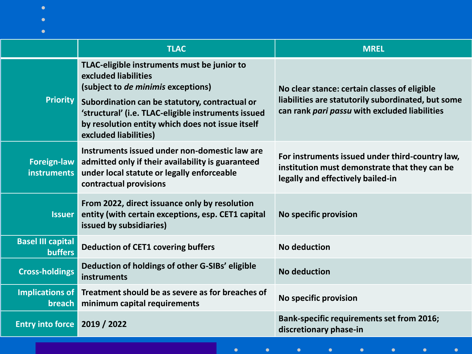|                                            | <b>TLAC</b>                                                                                                                                                                                                                                                                                     | <b>MREL</b>                                                                                                                                         |
|--------------------------------------------|-------------------------------------------------------------------------------------------------------------------------------------------------------------------------------------------------------------------------------------------------------------------------------------------------|-----------------------------------------------------------------------------------------------------------------------------------------------------|
| <b>Priority</b>                            | TLAC-eligible instruments must be junior to<br>excluded liabilities<br>(subject to de minimis exceptions)<br>Subordination can be statutory, contractual or<br>'structural' (i.e. TLAC-eligible instruments issued<br>by resolution entity which does not issue itself<br>excluded liabilities) | No clear stance: certain classes of eligible<br>liabilities are statutorily subordinated, but some<br>can rank pari passu with excluded liabilities |
| Foreign-law<br>instruments                 | Instruments issued under non-domestic law are<br>admitted only if their availability is guaranteed<br>under local statute or legally enforceable<br>contractual provisions                                                                                                                      | For instruments issued under third-country law,<br>institution must demonstrate that they can be<br>legally and effectively bailed-in               |
| <b>Issuer</b>                              | From 2022, direct issuance only by resolution<br>entity (with certain exceptions, esp. CET1 capital<br>issued by subsidiaries)                                                                                                                                                                  | <b>No specific provision</b>                                                                                                                        |
| <b>Basel III capital</b><br><b>buffers</b> | <b>Deduction of CET1 covering buffers</b>                                                                                                                                                                                                                                                       | No deduction                                                                                                                                        |
| <b>Cross-holdings</b>                      | Deduction of holdings of other G-SIBs' eligible<br>instruments                                                                                                                                                                                                                                  | No deduction                                                                                                                                        |
| Implications of<br>breach                  | Treatment should be as severe as for breaches of<br>minimum capital requirements                                                                                                                                                                                                                | No specific provision                                                                                                                               |
| <b>Entry into force</b>                    | 2019 / 2022                                                                                                                                                                                                                                                                                     | <b>Bank-specific requirements set from 2016;</b><br>discretionary phase-in                                                                          |
|                                            |                                                                                                                                                                                                                                                                                                 |                                                                                                                                                     |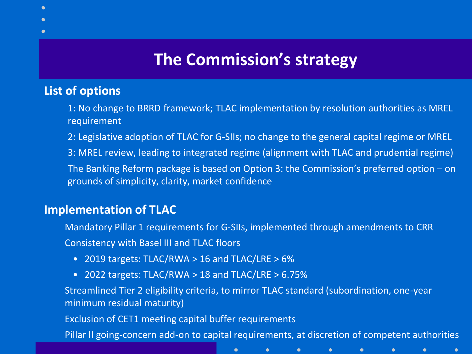# **The Commission's strategy**

#### **List of options**

1: No change to BRRD framework; TLAC implementation by resolution authorities as MREL requirement

2: Legislative adoption of TLAC for G-SIIs; no change to the general capital regime or MREL 3: MREL review, leading to integrated regime (alignment with TLAC and prudential regime) The Banking Reform package is based on Option 3: the Commission's preferred option – on grounds of simplicity, clarity, market confidence

### **Implementation of TLAC**

Mandatory Pillar 1 requirements for G-SIIs, implemented through amendments to CRR Consistency with Basel III and TLAC floors

- 2019 targets: TLAC/RWA > 16 and TLAC/LRE > 6%
- 2022 targets: TLAC/RWA > 18 and TLAC/LRE > 6.75%

Streamlined Tier 2 eligibility criteria, to mirror TLAC standard (subordination, one-year minimum residual maturity)

 $\bullet$ 

Exclusion of CET1 meeting capital buffer requirements

Pillar II going-concern add-on to capital requirements, at discretion of competent authorities

 $\bullet$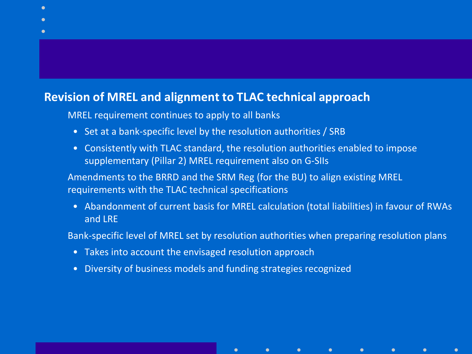#### **Revision of MREL and alignment to TLAC technical approach**

MREL requirement continues to apply to all banks

- Set at a bank-specific level by the resolution authorities / SRB
- Consistently with TLAC standard, the resolution authorities enabled to impose supplementary (Pillar 2) MREL requirement also on G-SIIs

Amendments to the BRRD and the SRM Reg (for the BU) to align existing MREL requirements with the TLAC technical specifications

 $\bullet$ 

 $\bullet$ 

• Abandonment of current basis for MREL calculation (total liabilities) in favour of RWAs and LRE

Bank-specific level of MREL set by resolution authorities when preparing resolution plans

- Takes into account the envisaged resolution approach
- Diversity of business models and funding strategies recognized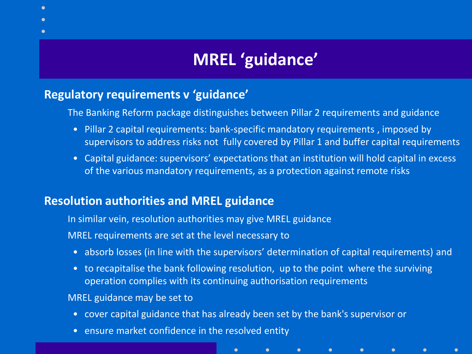# **MREL 'guidance'**

### **Regulatory requirements v 'guidance'**

The Banking Reform package distinguishes between Pillar 2 requirements and guidance

- Pillar 2 capital requirements: bank-specific mandatory requirements , imposed by supervisors to address risks not fully covered by Pillar 1 and buffer capital requirements
- Capital guidance: supervisors' expectations that an institution will hold capital in excess of the various mandatory requirements, as a protection against remote risks

### **Resolution authorities and MREL guidance**

In similar vein, resolution authorities may give MREL guidance

MREL requirements are set at the level necessary to

• absorb losses (in line with the supervisors' determination of capital requirements) and

 $\bullet$ 

 $\bullet$ 

• to recapitalise the bank following resolution, up to the point where the surviving operation complies with its continuing authorisation requirements

MREL guidance may be set to

• cover capital guidance that has already been set by the bank's supervisor or

 $\bullet$ 

• ensure market confidence in the resolved entity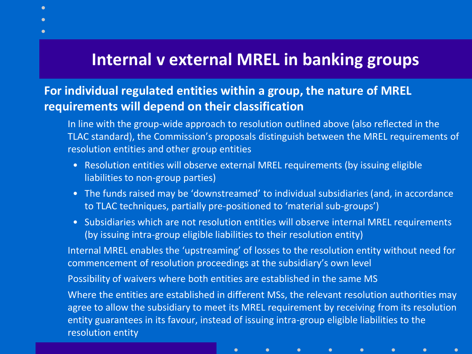# **Internal v external MREL in banking groups**

### **For individual regulated entities within a group, the nature of MREL requirements will depend on their classification**

In line with the group-wide approach to resolution outlined above (also reflected in the TLAC standard), the Commission's proposals distinguish between the MREL requirements of resolution entities and other group entities

- Resolution entities will observe external MREL requirements (by issuing eligible liabilities to non-group parties)
- The funds raised may be 'downstreamed' to individual subsidiaries (and, in accordance to TLAC techniques, partially pre-positioned to 'material sub-groups')
- Subsidiaries which are not resolution entities will observe internal MREL requirements (by issuing intra-group eligible liabilities to their resolution entity)

Internal MREL enables the 'upstreaming' of losses to the resolution entity without need for commencement of resolution proceedings at the subsidiary's own level

Possibility of waivers where both entities are established in the same MS

 $\bullet$ 

Where the entities are established in different MSs, the relevant resolution authorities may agree to allow the subsidiary to meet its MREL requirement by receiving from its resolution entity guarantees in its favour, instead of issuing intra-group eligible liabilities to the resolution entity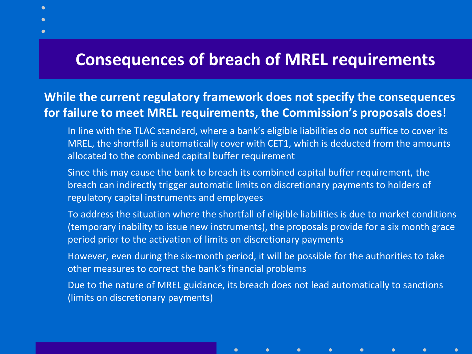## **Consequences of breach of MREL requirements**

### **While the current regulatory framework does not specify the consequences for failure to meet MREL requirements, the Commission's proposals does!**

- In line with the TLAC standard, where a bank's eligible liabilities do not suffice to cover its MREL, the shortfall is automatically cover with CET1, which is deducted from the amounts allocated to the combined capital buffer requirement
- Since this may cause the bank to breach its combined capital buffer requirement, the breach can indirectly trigger automatic limits on discretionary payments to holders of regulatory capital instruments and employees
- To address the situation where the shortfall of eligible liabilities is due to market conditions (temporary inability to issue new instruments), the proposals provide for a six month grace period prior to the activation of limits on discretionary payments
- However, even during the six-month period, it will be possible for the authorities to take other measures to correct the bank's financial problems
- Due to the nature of MREL guidance, its breach does not lead automatically to sanctions (limits on discretionary payments)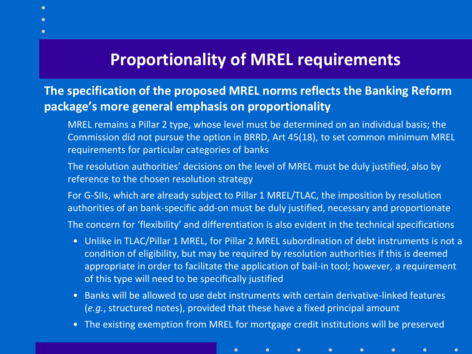# **Proportionality of MREL requirements**

### **The specification of the proposed MREL norms reflects the Banking Reform package's more general emphasis on proportionality**

- MREL remains a Pillar 2 type, whose level must be determined on an individual basis; the Commission did not pursue the option in BRRD, Art 45(18), to set common minimum MREL requirements for particular categories of banks
- The resolution authorities' decisions on the level of MREL must be duly justified, also by reference to the chosen resolution strategy
- For G-SIIs, which are already subject to Pillar 1 MREL/TLAC, the imposition by resolution authorities of an bank-specific add-on must be duly justified, necessary and proportionate
- The concern for 'flexibility' and differentiation is also evident in the technical specifications
	- Unlike in TLAC/Pillar 1 MREL, for Pillar 2 MREL subordination of debt instruments is not a condition of eligibility, but may be required by resolution authorities if this is deemed appropriate in order to facilitate the application of bail-in tool; however, a requirement of this type will need to be specifically justified
	- Banks will be allowed to use debt instruments with certain derivative-linked features (*e.g.*, structured notes), provided that these have a fixed principal amount
	- The existing exemption from MREL for mortgage credit institutions will be preserved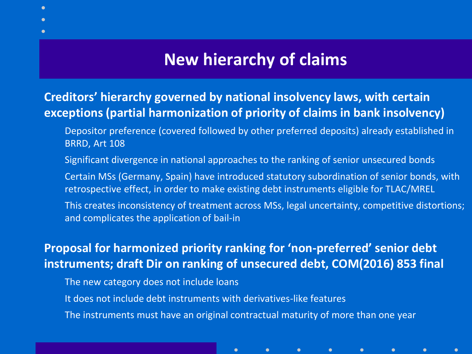## **New hierarchy of claims**

### **Creditors' hierarchy governed by national insolvency laws, with certain exceptions (partial harmonization of priority of claims in bank insolvency)**

- Depositor preference (covered followed by other preferred deposits) already established in BRRD, Art 108
- Significant divergence in national approaches to the ranking of senior unsecured bonds
- Certain MSs (Germany, Spain) have introduced statutory subordination of senior bonds, with retrospective effect, in order to make existing debt instruments eligible for TLAC/MREL
- This creates inconsistency of treatment across MSs, legal uncertainty, competitive distortions; and complicates the application of bail-in

 $\bullet$ 

 $\bullet$ 

### **Proposal for harmonized priority ranking for 'non-preferred' senior debt instruments; draft Dir on ranking of unsecured debt, COM(2016) 853 final**

- The new category does not include loans
- It does not include debt instruments with derivatives-like features
- The instruments must have an original contractual maturity of more than one year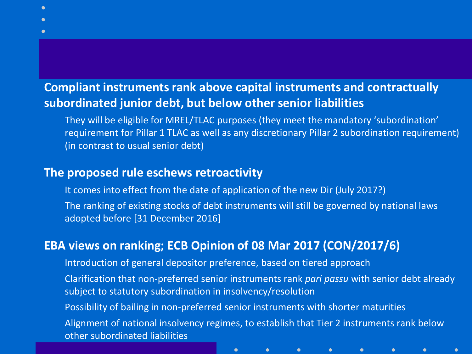### **Compliant instruments rank above capital instruments and contractually subordinated junior debt, but below other senior liabilities**

They will be eligible for MREL/TLAC purposes (they meet the mandatory 'subordination' requirement for Pillar 1 TLAC as well as any discretionary Pillar 2 subordination requirement) (in contrast to usual senior debt)

#### **The proposed rule eschews retroactivity**

It comes into effect from the date of application of the new Dir (July 2017?) The ranking of existing stocks of debt instruments will still be governed by national laws adopted before [31 December 2016]

### **EBA views on ranking; ECB Opinion of 08 Mar 2017 (CON/2017/6)**

Introduction of general depositor preference, based on tiered approach

Clarification that non-preferred senior instruments rank *pari passu* with senior debt already subject to statutory subordination in insolvency/resolution

Possibility of bailing in non-preferred senior instruments with shorter maturities Alignment of national insolvency regimes, to establish that Tier 2 instruments rank below other subordinated liabilities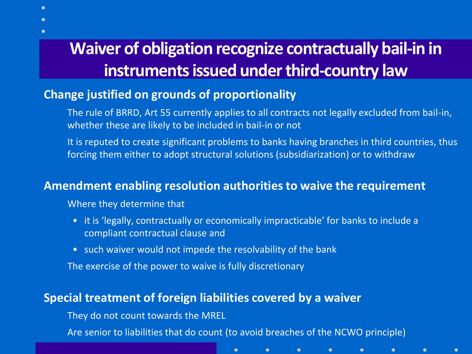# **Waiver of obligation recognize contractually bail-in in instruments issued under third-country law**

### **Change justified on grounds of proportionality**

- The rule of BRRD, Art 55 currently applies to all contracts not legally excluded from bail-in, whether these are likely to be included in bail-in or not
- It is reputed to create significant problems to banks having branches in third countries, thus forcing them either to adopt structural solutions (subsidiarization) or to withdraw

#### **Amendment enabling resolution authorities to waive the requirement**

Where they determine that

- it is 'legally, contractually or economically impracticable' for banks to include a compliant contractual clause and
- such waiver would not impede the resolvability of the bank

The exercise of the power to waive is fully discretionary

#### **Special treatment of foreign liabilities covered by a waiver**

They do not count towards the MREL

Are senior to liabilities that do count (to avoid breaches of the NCWO principle)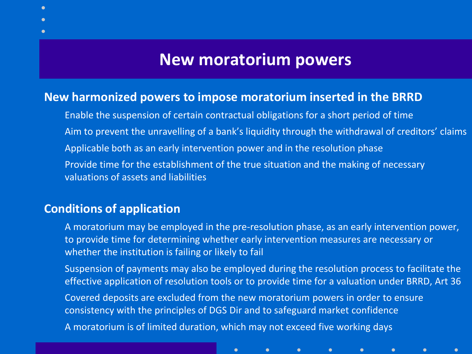## **New moratorium powers**

#### **New harmonized powers to impose moratorium inserted in the BRRD**

Enable the suspension of certain contractual obligations for a short period of time Aim to prevent the unravelling of a bank's liquidity through the withdrawal of creditors' claims Applicable both as an early intervention power and in the resolution phase Provide time for the establishment of the true situation and the making of necessary valuations of assets and liabilities

#### **Conditions of application**

A moratorium may be employed in the pre-resolution phase, as an early intervention power, to provide time for determining whether early intervention measures are necessary or whether the institution is failing or likely to fail

Suspension of payments may also be employed during the resolution process to facilitate the effective application of resolution tools or to provide time for a valuation under BRRD, Art 36 Covered deposits are excluded from the new moratorium powers in order to ensure consistency with the principles of DGS Dir and to safeguard market confidence A moratorium is of limited duration, which may not exceed five working days